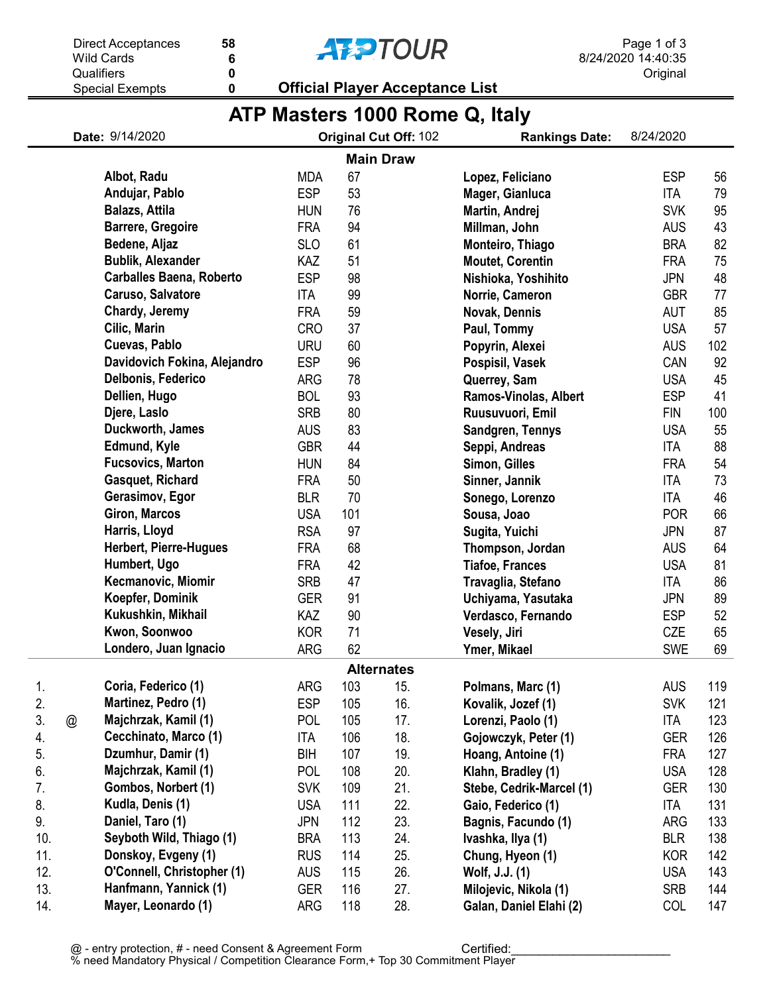

0 6

## **AFPTOUR**

Special Exempts

0 Official Player Acceptance List

## ATP Masters 1000 Rome Q, Italy

| Date: 9/14/2020   |   | Original Cut Off: 102           |            |     | <b>Rankings Date:</b> | 8/24/2020                |            |     |
|-------------------|---|---------------------------------|------------|-----|-----------------------|--------------------------|------------|-----|
|                   |   |                                 |            |     | <b>Main Draw</b>      |                          |            |     |
|                   |   | Albot, Radu                     | <b>MDA</b> | 67  |                       | Lopez, Feliciano         | <b>ESP</b> | 56  |
|                   |   | Andujar, Pablo                  | <b>ESP</b> | 53  |                       | Mager, Gianluca          | <b>ITA</b> | 79  |
|                   |   | Balazs, Attila                  | <b>HUN</b> | 76  |                       | Martin, Andrej           | <b>SVK</b> | 95  |
|                   |   | <b>Barrere, Gregoire</b>        | <b>FRA</b> | 94  |                       | Millman, John            | <b>AUS</b> | 43  |
|                   |   | Bedene, Aljaz                   | <b>SLO</b> | 61  |                       | Monteiro, Thiago         | <b>BRA</b> | 82  |
|                   |   | <b>Bublik, Alexander</b>        | KAZ        | 51  |                       | <b>Moutet, Corentin</b>  | <b>FRA</b> | 75  |
|                   |   | <b>Carballes Baena, Roberto</b> | <b>ESP</b> | 98  |                       | Nishioka, Yoshihito      | <b>JPN</b> | 48  |
|                   |   | Caruso, Salvatore               | <b>ITA</b> | 99  |                       | Norrie, Cameron          | <b>GBR</b> | 77  |
|                   |   | Chardy, Jeremy                  | <b>FRA</b> | 59  |                       | Novak, Dennis            | <b>AUT</b> | 85  |
|                   |   | Cilic, Marin                    | <b>CRO</b> | 37  |                       | Paul, Tommy              | <b>USA</b> | 57  |
|                   |   | Cuevas, Pablo                   | <b>URU</b> | 60  |                       | Popyrin, Alexei          | <b>AUS</b> | 102 |
|                   |   | Davidovich Fokina, Alejandro    | <b>ESP</b> | 96  |                       | Pospisil, Vasek          | CAN        | 92  |
|                   |   | Delbonis, Federico              | ARG        | 78  |                       | Querrey, Sam             | <b>USA</b> | 45  |
|                   |   | Dellien, Hugo                   | <b>BOL</b> | 93  |                       | Ramos-Vinolas, Albert    | <b>ESP</b> | 41  |
|                   |   | Djere, Laslo                    | <b>SRB</b> | 80  |                       | Ruusuvuori, Emil         | <b>FIN</b> | 100 |
|                   |   | Duckworth, James                | <b>AUS</b> | 83  |                       | Sandgren, Tennys         | <b>USA</b> | 55  |
|                   |   | Edmund, Kyle                    | <b>GBR</b> | 44  |                       | Seppi, Andreas           | ITA        | 88  |
|                   |   | <b>Fucsovics, Marton</b>        | <b>HUN</b> | 84  |                       | Simon, Gilles            | <b>FRA</b> | 54  |
|                   |   | Gasquet, Richard                | <b>FRA</b> | 50  |                       | Sinner, Jannik           | <b>ITA</b> | 73  |
|                   |   | Gerasimov, Egor                 | <b>BLR</b> | 70  |                       | Sonego, Lorenzo          | <b>ITA</b> | 46  |
|                   |   | Giron, Marcos                   | <b>USA</b> | 101 |                       | Sousa, Joao              | <b>POR</b> | 66  |
|                   |   | Harris, Lloyd                   | <b>RSA</b> | 97  |                       | Sugita, Yuichi           | <b>JPN</b> | 87  |
|                   |   | <b>Herbert, Pierre-Hugues</b>   | <b>FRA</b> | 68  |                       | Thompson, Jordan         | <b>AUS</b> | 64  |
|                   |   | Humbert, Ugo                    | <b>FRA</b> | 42  |                       | <b>Tiafoe, Frances</b>   | <b>USA</b> | 81  |
|                   |   | Kecmanovic, Miomir              | <b>SRB</b> | 47  |                       | Travaglia, Stefano       | <b>ITA</b> | 86  |
|                   |   | Koepfer, Dominik                | <b>GER</b> | 91  |                       | Uchiyama, Yasutaka       | <b>JPN</b> | 89  |
|                   |   | Kukushkin, Mikhail              | KAZ        | 90  |                       | Verdasco, Fernando       | <b>ESP</b> | 52  |
|                   |   | Kwon, Soonwoo                   | <b>KOR</b> | 71  |                       | Vesely, Jiri             | CZE        | 65  |
|                   |   | Londero, Juan Ignacio           | <b>ARG</b> | 62  |                       | Ymer, Mikael             | <b>SWE</b> | 69  |
| <b>Alternates</b> |   |                                 |            |     |                       |                          |            |     |
| 1.                |   | Coria, Federico (1)             | ARG        | 103 | 15.                   | Polmans, Marc (1)        | <b>AUS</b> | 119 |
| 2.                |   | Martinez, Pedro (1)             | <b>ESP</b> | 105 | 16.                   | Kovalik, Jozef (1)       | <b>SVK</b> | 121 |
| 3.                | @ | Majchrzak, Kamil (1)            | <b>POL</b> | 105 | 17.                   | Lorenzi, Paolo (1)       | ITA        | 123 |
| 4.                |   | Cecchinato, Marco (1)           | ITA        | 106 | 18.                   | Gojowczyk, Peter (1)     | <b>GER</b> | 126 |
| 5.                |   | Dzumhur, Damir (1)              | BIH        | 107 | 19.                   | Hoang, Antoine (1)       | <b>FRA</b> | 127 |
| 6.                |   | Majchrzak, Kamil (1)            | POL        | 108 | 20.                   | Klahn, Bradley (1)       | <b>USA</b> | 128 |
| 7.                |   | Gombos, Norbert (1)             | <b>SVK</b> | 109 | 21.                   | Stebe, Cedrik-Marcel (1) | GER        | 130 |
| 8.                |   | Kudla, Denis (1)                | <b>USA</b> | 111 | 22.                   | Gaio, Federico (1)       | ITA        | 131 |
| 9.                |   | Daniel, Taro (1)                | <b>JPN</b> | 112 | 23.                   | Bagnis, Facundo (1)      | ARG        | 133 |
| 10.               |   | Seyboth Wild, Thiago (1)        | <b>BRA</b> | 113 | 24.                   | Ivashka, Ilya (1)        | <b>BLR</b> | 138 |
| 11.               |   | Donskoy, Evgeny (1)             | <b>RUS</b> | 114 | 25.                   | Chung, Hyeon (1)         | <b>KOR</b> | 142 |
| 12.               |   | O'Connell, Christopher (1)      | <b>AUS</b> | 115 | 26.                   | Wolf, J.J. (1)           | <b>USA</b> | 143 |
| 13.               |   | Hanfmann, Yannick (1)           | <b>GER</b> | 116 | 27.                   | Milojevic, Nikola (1)    | <b>SRB</b> | 144 |
| 14.               |   | Mayer, Leonardo (1)             | ARG        | 118 | 28.                   | Galan, Daniel Elahi (2)  | COL        | 147 |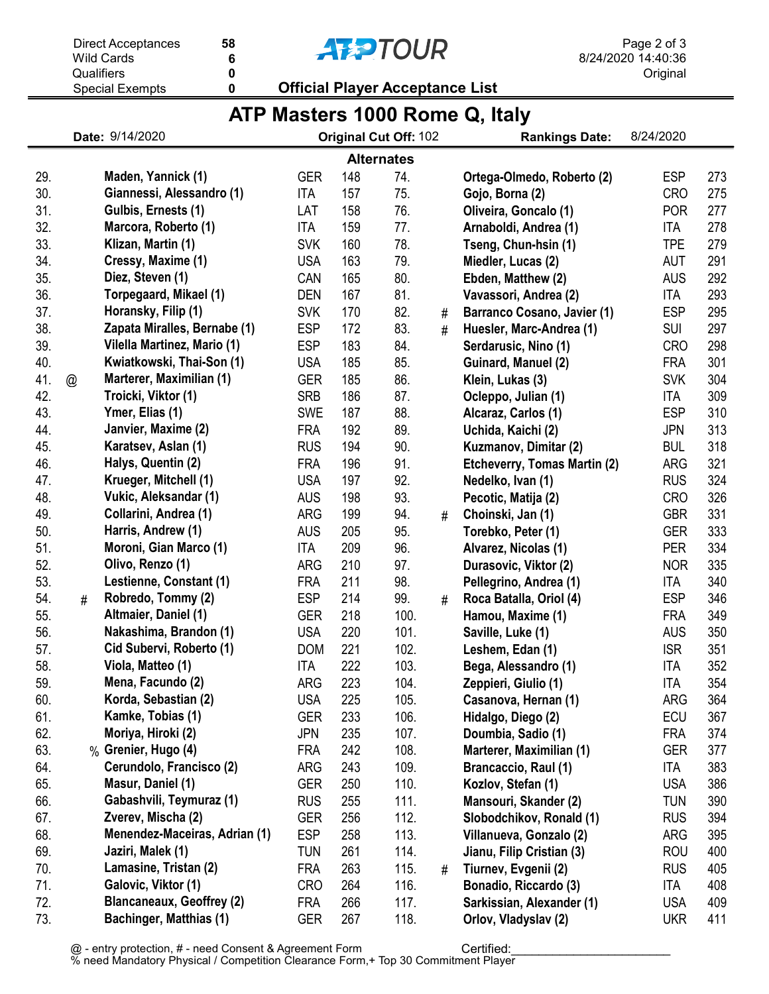|                                | Qualifiers  | 0<br>0                           | <b>Official Player Acceptance List</b> |     |                       |   |                                    | Original   |     |  |  |
|--------------------------------|-------------|----------------------------------|----------------------------------------|-----|-----------------------|---|------------------------------------|------------|-----|--|--|
|                                |             | <b>Special Exempts</b>           |                                        |     |                       |   |                                    |            |     |  |  |
| ATP Masters 1000 Rome Q, Italy |             |                                  |                                        |     |                       |   |                                    |            |     |  |  |
|                                |             | Date: 9/14/2020                  |                                        |     | Original Cut Off: 102 |   | <b>Rankings Date:</b>              | 8/24/2020  |     |  |  |
|                                |             |                                  |                                        |     | <b>Alternates</b>     |   |                                    |            |     |  |  |
| 29.                            |             | Maden, Yannick (1)               | <b>GER</b>                             | 148 | 74.                   |   | Ortega-Olmedo, Roberto (2)         | <b>ESP</b> | 273 |  |  |
| 30.                            |             | Giannessi, Alessandro (1)        | <b>ITA</b>                             | 157 | 75.                   |   | Gojo, Borna (2)                    | <b>CRO</b> | 275 |  |  |
| 31.                            |             | Gulbis, Ernests (1)              | LAT                                    | 158 | 76.                   |   | Oliveira, Goncalo (1)              | <b>POR</b> | 277 |  |  |
| 32.                            |             | Marcora, Roberto (1)             | ITA                                    | 159 | 77.                   |   | Arnaboldi, Andrea (1)              | ITA        | 278 |  |  |
| 33.                            |             | Klizan, Martin (1)               | <b>SVK</b>                             | 160 | 78.                   |   | Tseng, Chun-hsin (1)               | <b>TPE</b> | 279 |  |  |
| 34.                            |             | Cressy, Maxime (1)               | <b>USA</b>                             | 163 | 79.                   |   | Miedler, Lucas (2)                 | <b>AUT</b> | 291 |  |  |
| 35.                            |             | Diez, Steven (1)                 | CAN                                    | 165 | 80.                   |   | Ebden, Matthew (2)                 | <b>AUS</b> | 292 |  |  |
| 36.                            |             | Torpegaard, Mikael (1)           | <b>DEN</b>                             | 167 | 81.                   |   | Vavassori, Andrea (2)              | ITA        | 293 |  |  |
| 37.                            |             | Horansky, Filip (1)              | <b>SVK</b>                             | 170 | 82.                   | # | <b>Barranco Cosano, Javier (1)</b> | <b>ESP</b> | 295 |  |  |
| 38.                            |             | Zapata Miralles, Bernabe (1)     | <b>ESP</b>                             | 172 | 83.                   | # | Huesler, Marc-Andrea (1)           | <b>SUI</b> | 297 |  |  |
| 39.                            |             | Vilella Martinez, Mario (1)      | <b>ESP</b>                             | 183 | 84.                   |   | Serdarusic, Nino (1)               | <b>CRO</b> | 298 |  |  |
| 40.                            |             | Kwiatkowski, Thai-Son (1)        | <b>USA</b>                             | 185 | 85.                   |   | Guinard, Manuel (2)                | <b>FRA</b> | 301 |  |  |
| 41.                            | $\circleda$ | Marterer, Maximilian (1)         | <b>GER</b>                             | 185 | 86.                   |   | Klein, Lukas (3)                   | <b>SVK</b> | 304 |  |  |
| 42.                            |             | Troicki, Viktor (1)              | <b>SRB</b>                             | 186 | 87.                   |   | Ocleppo, Julian (1)                | ITA        | 309 |  |  |
| 43.                            |             | Ymer, Elias (1)                  | <b>SWE</b>                             | 187 | 88.                   |   | Alcaraz, Carlos (1)                | <b>ESP</b> | 310 |  |  |
| 44.                            |             | Janvier, Maxime (2)              | <b>FRA</b>                             | 192 | 89.                   |   | Uchida, Kaichi (2)                 | <b>JPN</b> | 313 |  |  |
| 45.                            |             | Karatsev, Aslan (1)              | <b>RUS</b>                             | 194 | 90.                   |   | Kuzmanov, Dimitar (2)              | <b>BUL</b> | 318 |  |  |
| 46.                            |             | Halys, Quentin (2)               | <b>FRA</b>                             | 196 | 91.                   |   | Etcheverry, Tomas Martin (2)       | ARG        | 321 |  |  |
| 47.                            |             | Krueger, Mitchell (1)            | <b>USA</b>                             | 197 | 92.                   |   | Nedelko, Ivan (1)                  | <b>RUS</b> | 324 |  |  |
| 48.                            |             | Vukic, Aleksandar (1)            | <b>AUS</b>                             | 198 | 93.                   |   | Pecotic, Matija (2)                | <b>CRO</b> | 326 |  |  |
| 49.                            |             | Collarini, Andrea (1)            | <b>ARG</b>                             | 199 | 94.                   | # | Choinski, Jan (1)                  | <b>GBR</b> | 331 |  |  |
| 50.                            |             | Harris, Andrew (1)               | <b>AUS</b>                             | 205 | 95.                   |   | Torebko, Peter (1)                 | <b>GER</b> | 333 |  |  |
| 51.                            |             | Moroni, Gian Marco (1)           | ITA                                    | 209 | 96.                   |   | Alvarez, Nicolas (1)               | <b>PER</b> | 334 |  |  |
| 52.                            |             | Olivo, Renzo (1)                 | <b>ARG</b>                             | 210 | 97.                   |   | Durasovic, Viktor (2)              | <b>NOR</b> | 335 |  |  |
| 53.                            |             | Lestienne, Constant (1)          | <b>FRA</b>                             | 211 | 98.                   |   | Pellegrino, Andrea (1)             | ITA        | 340 |  |  |
| 54.                            | #           | Robredo, Tommy (2)               | <b>ESP</b>                             | 214 | 99.                   | # | Roca Batalla, Oriol (4)            | <b>ESP</b> | 346 |  |  |
| 55.                            |             | Altmaier, Daniel (1)             | <b>GER</b>                             | 218 | 100.                  |   | Hamou, Maxime (1)                  | <b>FRA</b> | 349 |  |  |
| 56.                            |             | Nakashima, Brandon (1)           | <b>USA</b>                             | 220 | 101.                  |   | Saville, Luke (1)                  | AUS        | 350 |  |  |
| 57.                            |             | Cid Subervi, Roberto (1)         | <b>DOM</b>                             | 221 | 102.                  |   | Leshem, Edan (1)                   | <b>ISR</b> | 351 |  |  |
| 58.                            |             | Viola, Matteo (1)                | <b>ITA</b>                             | 222 | 103.                  |   | Bega, Alessandro (1)               | <b>ITA</b> | 352 |  |  |
| 59.                            |             | Mena, Facundo (2)                | <b>ARG</b>                             | 223 | 104.                  |   | Zeppieri, Giulio (1)               | ITA        | 354 |  |  |
| 60.                            |             | Korda, Sebastian (2)             | <b>USA</b>                             | 225 | 105.                  |   | Casanova, Hernan (1)               | ARG        | 364 |  |  |
| 61.                            |             | Kamke, Tobias (1)                | <b>GER</b>                             | 233 | 106.                  |   | Hidalgo, Diego (2)                 | <b>ECU</b> | 367 |  |  |
| 62.                            |             | Moriya, Hiroki (2)               | <b>JPN</b>                             | 235 | 107.                  |   | Doumbia, Sadio (1)                 | <b>FRA</b> | 374 |  |  |
| 63.                            |             | % Grenier, Hugo (4)              | <b>FRA</b>                             | 242 | 108.                  |   | Marterer, Maximilian (1)           | <b>GER</b> | 377 |  |  |
| 64.                            |             | Cerundolo, Francisco (2)         | ARG                                    | 243 | 109.                  |   | Brancaccio, Raul (1)               | ITA        | 383 |  |  |
| 65.                            |             | Masur, Daniel (1)                | <b>GER</b>                             | 250 | 110.                  |   | Kozlov, Stefan (1)                 | <b>USA</b> | 386 |  |  |
| 66.                            |             | Gabashvili, Teymuraz (1)         | <b>RUS</b>                             | 255 | 111.                  |   | Mansouri, Skander (2)              | <b>TUN</b> | 390 |  |  |
| 67.                            |             | Zverev, Mischa (2)               | <b>GER</b>                             | 256 | 112.                  |   | Slobodchikov, Ronald (1)           | <b>RUS</b> | 394 |  |  |
| 68.                            |             | Menendez-Maceiras, Adrian (1)    | <b>ESP</b>                             | 258 | 113.                  |   | Villanueva, Gonzalo (2)            | ARG        | 395 |  |  |
| 69.                            |             | Jaziri, Malek (1)                | <b>TUN</b>                             | 261 | 114.                  |   | Jianu, Filip Cristian (3)          | <b>ROU</b> | 400 |  |  |
| 70.                            |             | Lamasine, Tristan (2)            | <b>FRA</b>                             | 263 | 115.                  | # | Tiurnev, Evgenii (2)               | <b>RUS</b> | 405 |  |  |
| 71.                            |             | Galovic, Viktor (1)              | <b>CRO</b>                             | 264 | 116.                  |   | Bonadio, Riccardo (3)              | ITA        | 408 |  |  |
| 72.                            |             | <b>Blancaneaux, Geoffrey (2)</b> | <b>FRA</b>                             | 266 | 117.                  |   | Sarkissian, Alexander (1)          | <b>USA</b> | 409 |  |  |
| 73.                            |             | <b>Bachinger, Matthias (1)</b>   | <b>GER</b>                             | 267 | 118.                  |   | Orlov, Vladyslav (2)               | <b>UKR</b> | 411 |  |  |

**AFPTOUR** 

Direct Acceptances

Wild Cards

6

58

8/24/2020 14:40:36 Page 2 of 3 Original